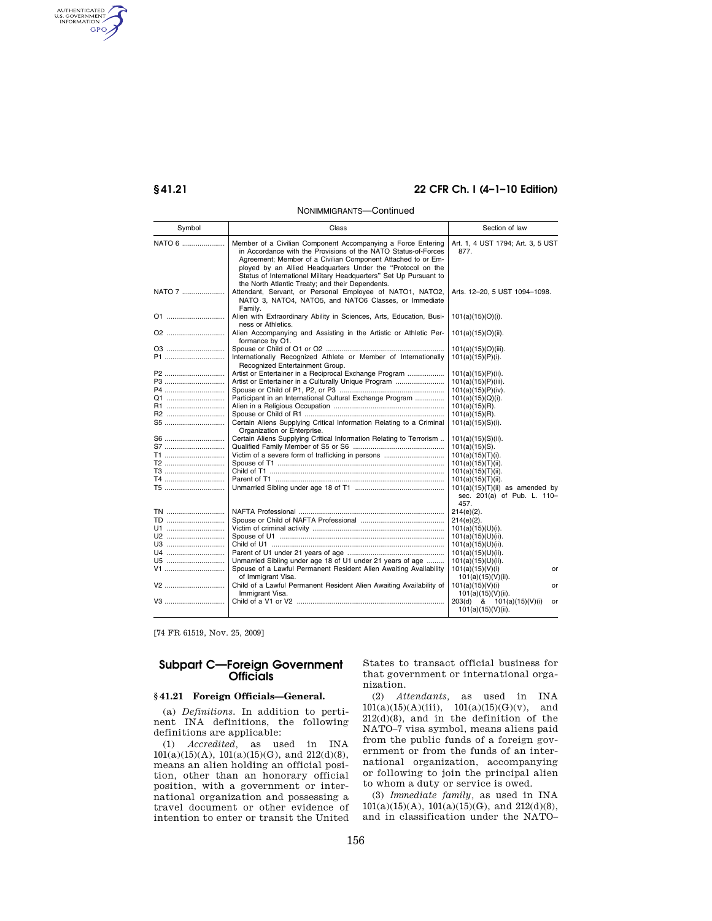AUTHENTICATED<br>U.S. GOVERNMENT<br>INFORMATION GPO

# **§ 41.21 22 CFR Ch. I (4–1–10 Edition)**

#### NONIMMIGRANTS—Continued

| Symbol                                                             | Class                                                                                                                                                                                                                                                                                                                                                                                  | Section of law                                                                                                                                                                                                                          |
|--------------------------------------------------------------------|----------------------------------------------------------------------------------------------------------------------------------------------------------------------------------------------------------------------------------------------------------------------------------------------------------------------------------------------------------------------------------------|-----------------------------------------------------------------------------------------------------------------------------------------------------------------------------------------------------------------------------------------|
| NATO 6                                                             | Member of a Civilian Component Accompanying a Force Entering<br>in Accordance with the Provisions of the NATO Status-of-Forces<br>Agreement; Member of a Civilian Component Attached to or Em-<br>ployed by an Allied Headquarters Under the "Protocol on the<br>Status of International Military Headquarters" Set Up Pursuant to<br>the North Atlantic Treaty; and their Dependents. | Art. 1, 4 UST 1794; Art. 3, 5 UST<br>877.                                                                                                                                                                                               |
| NATO 7                                                             | Attendant, Servant, or Personal Employee of NATO1, NATO2,<br>NATO 3, NATO4, NATO5, and NATO6 Classes, or Immediate<br>Family.                                                                                                                                                                                                                                                          | Arts. 12-20, 5 UST 1094-1098.                                                                                                                                                                                                           |
| 01                                                                 | Alien with Extraordinary Ability in Sciences, Arts, Education, Busi-<br>ness or Athletics.                                                                                                                                                                                                                                                                                             | 101(a)(15)(O)(i).                                                                                                                                                                                                                       |
| 02                                                                 | Alien Accompanying and Assisting in the Artistic or Athletic Per-<br>formance by O1.                                                                                                                                                                                                                                                                                                   | $101(a)(15)(O)(ii)$ .                                                                                                                                                                                                                   |
| 03<br>P1                                                           | Internationally Recognized Athlete or Member of Internationally<br>Recognized Entertainment Group.                                                                                                                                                                                                                                                                                     | 101(a)(15)(O)(iii).<br>$101(a)(15)(P)(i)$ .                                                                                                                                                                                             |
| P2<br>P3<br>P4<br>Q1<br><b>R1</b><br><b>R2</b><br><b>S5</b>        | Artist or Entertainer in a Reciprocal Exchange Program<br>Artist or Entertainer in a Culturally Unique Program<br>Participant in an International Cultural Exchange Program<br>Certain Aliens Supplying Critical Information Relating to a Criminal<br>Organization or Enterprise.                                                                                                     | $101(a)(15)(P)(ii)$ .<br>101(a)(15)(P)(iii).<br>101(a)(15)(P)(iv).<br>$101(a)(15)(Q)(i)$ .<br>$101(a)(15)(R)$ .<br>$101(a)(15)(R)$ .<br>$101(a)(15)(S)(i)$ .                                                                            |
| S6<br>S7<br><b>T1</b><br>T2<br><b>T3</b><br><b>T4</b><br><b>T5</b> | Certain Aliens Supplying Critical Information Relating to Terrorism                                                                                                                                                                                                                                                                                                                    | $101(a)(15)(S)(ii)$ .<br>$101(a)(15)(S)$ .<br>101(a)(15)(T)(i).<br>$101(a)(15)(T)(ii)$ .<br>$101(a)(15)(T)(ii)$ .<br>$101(a)(15)(T)(ii)$ .<br>$101(a)(15)(T)(ii)$ as amended by<br>sec. 201(a) of Pub. L. 110-<br>457.                  |
| <b>TN</b><br><b>TD</b><br>U1<br>U2<br>U3<br>U4<br>U5<br>V1<br>V2   | Unmarried Sibling under age 18 of U1 under 21 years of age<br>Spouse of a Lawful Permanent Resident Alien Awaiting Availability<br>of Immigrant Visa.<br>Child of a Lawful Permanent Resident Alien Awaiting Availability of                                                                                                                                                           | $214(e)(2)$ .<br>$214(e)(2)$ .<br>$101(a)(15)(U)(i)$ .<br>$101(a)(15)(U)(ii)$ .<br>$101(a)(15)(U)(ii)$ .<br>$101(a)(15)(U)(ii)$ .<br>$101(a)(15)(U)(ii)$ .<br>101(a)(15)(V)(i)<br>or<br>$101(a)(15)(V)(ii)$ .<br>101(a)(15)(V)(i)<br>or |
|                                                                    | Immigrant Visa.                                                                                                                                                                                                                                                                                                                                                                        | $101(a)(15)(V)(ii)$ .<br>203(d) & 101(a)(15)(V)(i)<br>or<br>$101(a)(15)(V)(ii)$ .                                                                                                                                                       |

[74 FR 61519, Nov. 25, 2009]

## **Subpart C—Foreign Government Officials**

## **§ 41.21 Foreign Officials—General.**

(a) *Definitions.* In addition to pertinent INA definitions, the following definitions are applicable:

(1) *Accredited,* as used in INA 101(a)(15)(A), 101(a)(15)(G), and 212(d)(8), means an alien holding an official position, other than an honorary official position, with a government or international organization and possessing a travel document or other evidence of intention to enter or transit the United States to transact official business for that government or international organization.

(2) *Attendants,* as used in INA  $101(a)(15)(A)(iii), \quad 101(a)(15)(G)(v), \quad \text{and}$ 212(d)(8), and in the definition of the NATO–7 visa symbol, means aliens paid from the public funds of a foreign government or from the funds of an international organization, accompanying or following to join the principal alien to whom a duty or service is owed.

(3) *Immediate family,* as used in INA 101(a)(15)(A), 101(a)(15)(G), and 212(d)(8), and in classification under the NATO–